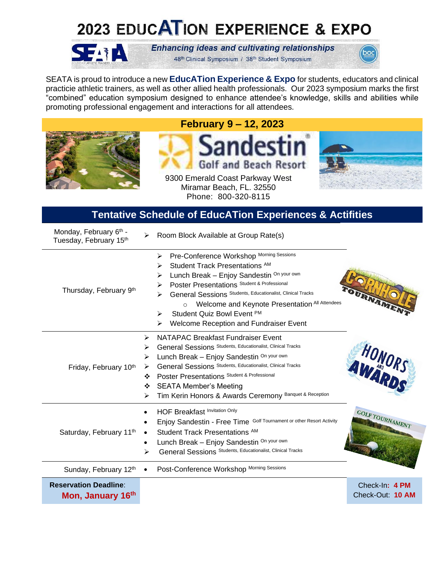# 2023 EDUCATION EXPERIENCE & EXPO



**Enhancing ideas and cultivating relationships** 48th Clinical Symposium / 38th Student Symposium



SEATA is proud to introduce a new **EducATion Experience & Expo** for students, educators and clinical practicie athletic trainers, as well as other allied health professionals. Our 2023 symposium marks the first "combined" education symposium designed to enhance attendee's knowledge, skills and abilities while promoting professional engagement and interactions for all attendees.



**February 9 – 12, 2023**





Miramar Beach, FL. 32550 Phone: 800-320-8115

#### **Tentative Schedule of EducATion Experiences & Actifities**

| Monday, February 6th -<br>Tuesday, February 15th  | Room Block Available at Group Rate(s)<br>➤                                                                                                                                                                                                                                                                                                                                                                   |                                    |
|---------------------------------------------------|--------------------------------------------------------------------------------------------------------------------------------------------------------------------------------------------------------------------------------------------------------------------------------------------------------------------------------------------------------------------------------------------------------------|------------------------------------|
| Thursday, February 9th                            | Pre-Conference Workshop Morning Sessions<br>➤<br>Student Track Presentations AM<br>⋗<br>Lunch Break - Enjoy Sandestin On your own<br>⋗<br>Poster Presentations Student & Professional<br>≻<br>General Sessions Students, Educationalist, Clinical Tracks<br>➤<br>Welcome and Keynote Presentation All Attendees<br>$\circ$<br>Student Quiz Bowl Event PM<br>➤<br>Welcome Reception and Fundraiser Event<br>⋗ |                                    |
| Friday, February 10th                             | NATAPAC Breakfast Fundraiser Event<br>⋗<br>General Sessions Students, Educationalist, Clinical Tracks<br>⋗<br>Lunch Break - Enjoy Sandestin On your own<br>➤<br>General Sessions Students, Educationalist, Clinical Tracks<br>➤<br>Poster Presentations Student & Professional<br>❖<br><b>SEATA Member's Meeting</b><br>❖<br>Tim Kerin Honors & Awards Ceremony Banquet & Reception<br>⋗                     | HONORS                             |
| Saturday, February 11th                           | <b>HOF Breakfast Invitation Only</b><br>Enjoy Sandestin - Free Time Golf Tournament or other Resort Activity<br>Student Track Presentations <sup>AM</sup><br>Lunch Break - Enjoy Sandestin On your own<br>٠<br>General Sessions Students, Educationalist, Clinical Tracks<br>➤                                                                                                                               | <b>GOLF TOURNAMENT</b>             |
| Sunday, February 12th                             | Post-Conference Workshop Morning Sessions                                                                                                                                                                                                                                                                                                                                                                    |                                    |
| <b>Reservation Deadline:</b><br>Mon, January 16th |                                                                                                                                                                                                                                                                                                                                                                                                              | Check-In: 4 PM<br>Check-Out: 10 AM |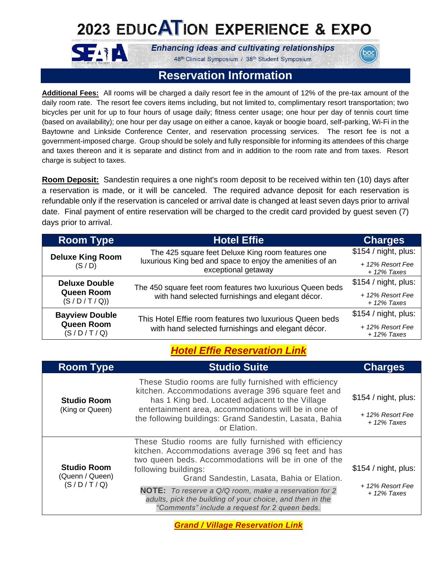## 2023 EDUCATION EXPERIENCE & EXPO



**SEARA** 

48th Clinical Symposium / 38th Student Symposium

### **Reservation Information**

**Additional Fees:** All rooms will be charged a daily resort fee in the amount of 12% of the pre-tax amount of the daily room rate. The resort fee covers items including, but not limited to, complimentary resort transportation; two bicycles per unit for up to four hours of usage daily; fitness center usage; one hour per day of tennis court time (based on availability); one hour per day usage on either a canoe, kayak or boogie board, self-parking, Wi-Fi in the Baytowne and Linkside Conference Center, and reservation processing services. The resort fee is not a government-imposed charge. Group should be solely and fully responsible for informing its attendees of this charge and taxes thereon and it is separate and distinct from and in addition to the room rate and from taxes. Resort charge is subject to taxes.

**Room Deposit:** Sandestin requires a one night's room deposit to be received within ten (10) days after a reservation is made, or it will be canceled. The required advance deposit for each reservation is refundable only if the reservation is canceled or arrival date is changed at least seven days prior to arrival date. Final payment of entire reservation will be charged to the credit card provided by guest seven (7) days prior to arrival.

| <b>Room Type</b>                                                                                                                                                          | <b>Hotel Effie</b>                                                                                                                                 | <b>Charges</b>                    |
|---------------------------------------------------------------------------------------------------------------------------------------------------------------------------|----------------------------------------------------------------------------------------------------------------------------------------------------|-----------------------------------|
| The 425 square feet Deluxe King room features one<br><b>Deluxe King Room</b><br>luxurious King bed and space to enjoy the amenities of an<br>(S/D)<br>exceptional getaway |                                                                                                                                                    | \$154 / night, plus:              |
|                                                                                                                                                                           | + 12% Resort Fee<br>$+12\%$ Taxes                                                                                                                  |                                   |
| <b>Deluxe Double</b>                                                                                                                                                      | The 450 square feet room features two luxurious Queen beds<br><b>Queen Room</b><br>with hand selected furnishings and elegant décor.<br>(S/D/T/Q)) | \$154 / night, plus:              |
|                                                                                                                                                                           |                                                                                                                                                    | + 12% Resort Fee<br>$+12\%$ Taxes |
| <b>Bayview Double</b><br>This Hotel Effie room features two luxurious Queen beds<br><b>Queen Room</b><br>with hand selected furnishings and elegant décor.<br>(S/D/T/Q)   | \$154 / night, plus:                                                                                                                               |                                   |
|                                                                                                                                                                           |                                                                                                                                                    | + 12% Resort Fee<br>$+12\%$ Taxes |

### *[Hotel Effie Reservation Link](https://be.synxis.com/?Hotel=9152&Chain=10237&config=EDPEF_GROUP&theme=ECPEF&arrive=2/7/2023&depart=2/11/2023&adult=1&child=0&group=SEATA0223)*

| <b>Room Type</b>                                   | <b>Studio Suite</b>                                                                                                                                                                                                                                                                                                                                                                                                        | <b>Charges</b>                                            |
|----------------------------------------------------|----------------------------------------------------------------------------------------------------------------------------------------------------------------------------------------------------------------------------------------------------------------------------------------------------------------------------------------------------------------------------------------------------------------------------|-----------------------------------------------------------|
| <b>Studio Room</b><br>(King or Queen)              | These Studio rooms are fully furnished with efficiency<br>kitchen. Accommodations average 396 square feet and<br>has 1 King bed. Located adjacent to the Village<br>entertainment area, accommodations will be in one of<br>the following buildings: Grand Sandestin, Lasata, Bahia<br>or Elation.                                                                                                                         | \$154 / night, plus:<br>+ 12% Resort Fee<br>$+12\%$ Taxes |
| <b>Studio Room</b><br>(Quenn / Queen)<br>(S/D/T/Q) | These Studio rooms are fully furnished with efficiency<br>kitchen. Accommodations average 396 sq feet and has<br>two queen beds. Accommodations will be in one of the<br>following buildings:<br>Grand Sandestin, Lasata, Bahia or Elation.<br><b>NOTE:</b> To reserve a Q/Q room, make a reservation for 2<br>adults, pick the building of your choice, and then in the<br>"Comments" include a request for 2 queen beds. | \$154 / night, plus:<br>+ 12% Resort Fee<br>$+12\%$ Taxes |

*[Grand / Village Reservation Link](https://www.sandestin.com/24K80F)*